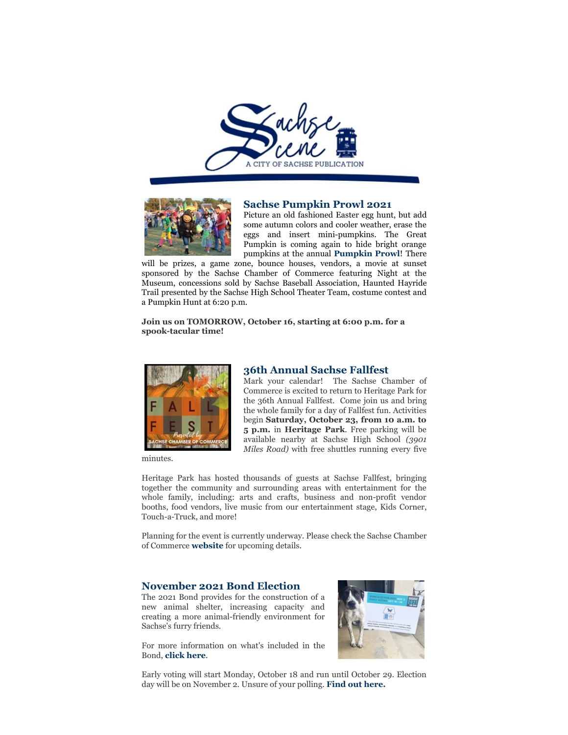



#### **Sachse Pumpkin Prowl 2021**

Picture an old fashioned Easter egg hunt, but add some autumn colors and cooler weather, erase the eggs and insert mini-pumpkins. The Great Pumpkin is coming again to hide bright orange pumpkins at the annual **Pumpkin Prowl**! There

will be prizes, a game zone, bounce houses, vendors, a movie at sunset sponsored by the Sachse Chamber of Commerce featuring Night at the Museum, concessions sold by Sachse Baseball Association, Haunted Hayride Trail presented by the Sachse High School Theater Team, costume contest and a Pumpkin Hunt at 6:20 p.m.

**Join us on TOMORROW, October 16, starting at 6:00 p.m. for a spook-tacular time!**



minutes.

#### **36th Annual Sachse Fallfest**

Mark your calendar! The Sachse Chamber of Commerce is excited to return to Heritage Park for the 36th Annual Fallfest. Come join us and bring the whole family for a day of Fallfest fun. Activities begin **Saturday, October 23, from 10 a.m. to 5 p.m.** in **Heritage Park**. Free parking will be available nearby at Sachse High School *(3901 Miles Road)* with free shuttles running every five

Heritage Park has hosted thousands of guests at Sachse Fallfest, bringing together the community and surrounding areas with entertainment for the whole family, including: arts and crafts, business and non-profit vendor booths, food vendors, live music from our entertainment stage, Kids Corner, Touch-a-Truck, and more!

Planning for the event is currently underway. Please check the Sachse Chamber of Commerce **website** for upcoming details.

### **November 2021 Bond Election**

The 2021 Bond provides for the construction of a new animal shelter, increasing capacity and creating a more animal-friendly environment for Sachse's furry friends.

For more information on what's included in the Bond, **click here**.



Early voting will start Monday, October 18 and run until October 29. Election day will be on November 2. Unsure of your polling. **Find out here.**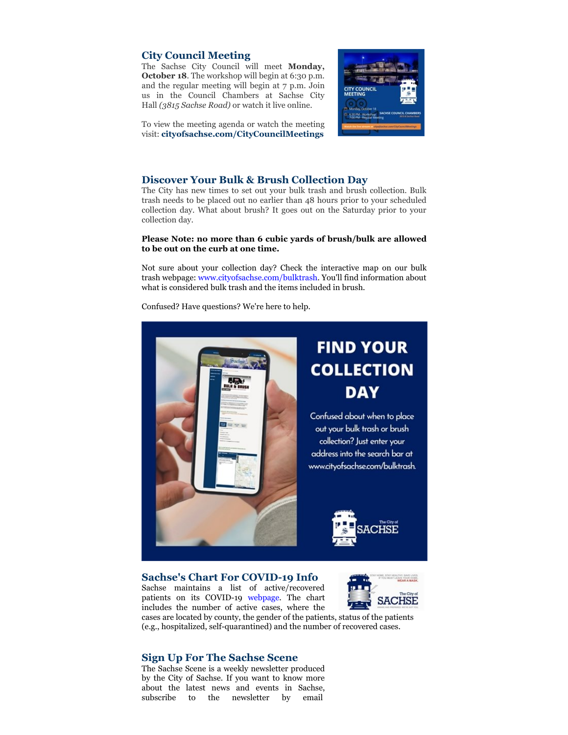# **City Council Meeting**

The Sachse City Council will meet **Monday, October 18.** The workshop will begin at 6:30 p.m. and the regular meeting will begin at 7 p.m. Join us in the Council Chambers at Sachse City Hall *(3815 Sachse Road)* or watch it live online.



To view the meeting agenda or watch the meeting visit: **cityofsachse.com/CityCouncilMeetings**

## **Discover Your Bulk & Brush Collection Day**

The City has new times to set out your bulk trash and brush collection. Bulk trash needs to be placed out no earlier than 48 hours prior to your scheduled collection day. What about brush? It goes out on the Saturday prior to your collection day.

#### **Please Note: no more than 6 cubic yards of brush/bulk are allowed to be out on the curb at one time.**

Not sure about your collection day? Check the interactive map on our bulk trash webpage: www.cityofsachse.com/bulktrash. You'll find information about what is considered bulk trash and the items included in brush.

Confused? Have questions? We're here to help.



### **Sachse's Chart For COVID-19 Info**

Sachse maintains a list of active/recovered patients on its COVID-19 webpage. The chart includes the number of active cases, where the



cases are located by county, the gender of the patients, status of the patients (e.g., hospitalized, self-quarantined) and the number of recovered cases.

# **Sign Up For The Sachse Scene**

The Sachse Scene is a weekly newsletter produced by the City of Sachse. If you want to know more about the latest news and events in Sachse, subscribe to the newsletter by email